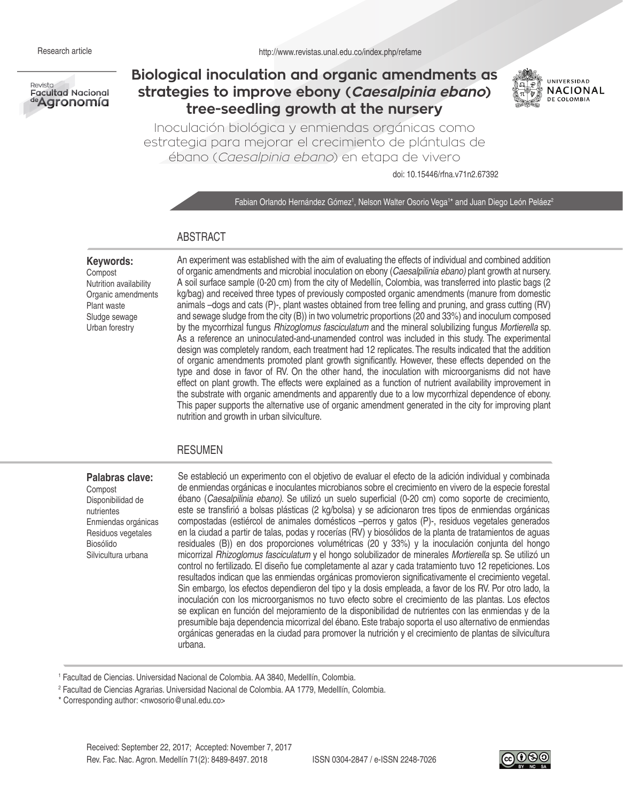

# **Biological inoculation and organic amendments as strategies to improve ebony (Caesalpinia ebano) tree-seedling growth at the nursery**



Inoculación biológica y enmiendas orgánicas como estrategia para mejorar el crecimiento de plántulas de ébano (Caesalpinia ebano) en etapa de vivero

doi: 10.15446/rfna.v71n2.67392

Fabian Orlando Hernández Gómez<sup>1</sup>, Nelson Walter Osorio Vega<sup>1\*</sup> and Juan Diego León Peláez<sup>2</sup>

# ABSTRACT

#### **Keywords:**

Compost Nutrition availability Organic amendments Plant waste Sludge sewage Urban forestry

An experiment was established with the aim of evaluating the effects of individual and combined addition of organic amendments and microbial inoculation on ebony (*Caesalpilinia ebano)* plant growth at nursery. A soil surface sample (0-20 cm) from the city of Medellín, Colombia, was transferred into plastic bags (2 kg/bag) and received three types of previously composted organic amendments (manure from domestic animals –dogs and cats (P)-, plant wastes obtained from tree felling and pruning, and grass cutting (RV) and sewage sludge from the city (B)) in two volumetric proportions (20 and 33%) and inoculum composed by the mycorrhizal fungus *Rhizoglomus fasciculatum* and the mineral solubilizing fungus *Mortierella* sp. As a reference an uninoculated-and-unamended control was included in this study. The experimental design was completely random, each treatment had 12 replicates. The results indicated that the addition of organic amendments promoted plant growth significantly. However, these effects depended on the type and dose in favor of RV. On the other hand, the inoculation with microorganisms did not have effect on plant growth. The effects were explained as a function of nutrient availability improvement in the substrate with organic amendments and apparently due to a low mycorrhizal dependence of ebony. This paper supports the alternative use of organic amendment generated in the city for improving plant nutrition and growth in urban silviculture.

## RESUMEN

#### **Palabras clave:**

Compost Disponibilidad de nutrientes Enmiendas orgánicas Residuos vegetales Biosólido Silvicultura urbana

Se estableció un experimento con el objetivo de evaluar el efecto de la adición individual y combinada de enmiendas orgánicas e inoculantes microbianos sobre el crecimiento en vivero de la especie forestal ébano (*Caesalpilinia ebano)*. Se utilizó un suelo superficial (0-20 cm) como soporte de crecimiento, este se transfirió a bolsas plásticas (2 kg/bolsa) y se adicionaron tres tipos de enmiendas orgánicas compostadas (estiércol de animales domésticos –perros y gatos (P)-, residuos vegetales generados en la ciudad a partir de talas, podas y rocerías (RV) y biosólidos de la planta de tratamientos de aguas residuales (B)) en dos proporciones volumétricas (20 y 33%) y la inoculación conjunta del hongo micorrizal *Rhizoglomus fasciculatum* y el hongo solubilizador de minerales *Mortierella* sp. Se utilizó un control no fertilizado. El diseño fue completamente al azar y cada tratamiento tuvo 12 repeticiones. Los resultados indican que las enmiendas orgánicas promovieron significativamente el crecimiento vegetal. Sin embargo, los efectos dependieron del tipo y la dosis empleada, a favor de los RV. Por otro lado, la inoculación con los microorganismos no tuvo efecto sobre el crecimiento de las plantas. Los efectos se explican en función del mejoramiento de la disponibilidad de nutrientes con las enmiendas y de la presumible baja dependencia micorrizal del ébano. Este trabajo soporta el uso alternativo de enmiendas orgánicas generadas en la ciudad para promover la nutrición y el crecimiento de plantas de silvicultura urbana.

<sup>1</sup> Facultad de Ciencias. Universidad Nacional de Colombia. AA 3840, Medelllín, Colombia.

<sup>2</sup> Facultad de Ciencias Agrarias. Universidad Nacional de Colombia. AA 1779, Medelllín, Colombia.

\* Corresponding author: <nwosorio@unal.edu.co>

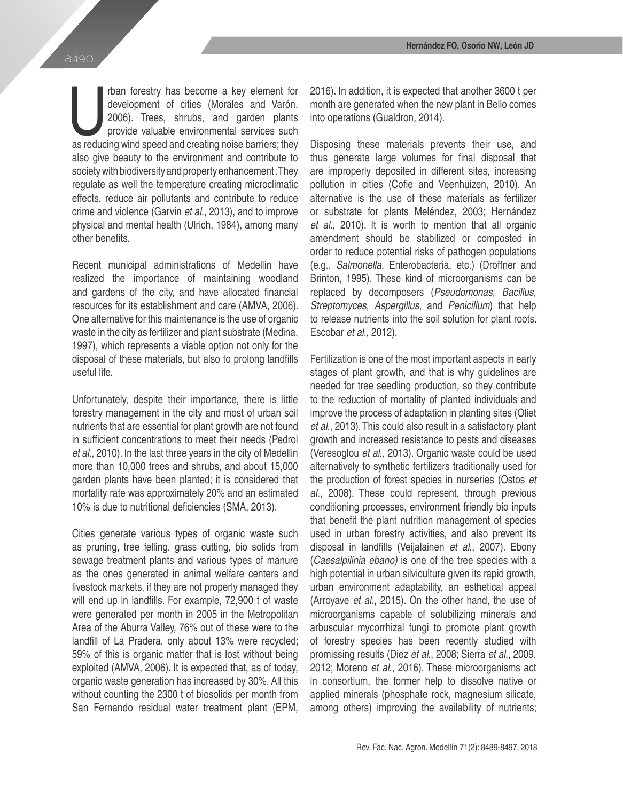rban forestry has become a key element for development of cities (Morales and Varón, 2006). Trees, shrubs, and garden plants provide valuable environmental services such as reducing wind speed and creating noise barriers; rban forestry has become a key element for development of cities (Morales and Varón, 2006). Trees, shrubs, and garden plants provide valuable environmental services such also give beauty to the environment and contribute to society with biodiversity and property enhancement .They regulate as well the temperature creating microclimatic effects, reduce air pollutants and contribute to reduce crime and violence (Garvin *et al*., 2013), and to improve physical and mental health (Ulrich, 1984), among many other benefits.

Recent municipal administrations of Medellin have realized the importance of maintaining woodland and gardens of the city, and have allocated financial resources for its establishment and care (AMVA, 2006). One alternative for this maintenance is the use of organic waste in the city as fertilizer and plant substrate (Medina, 1997), which represents a viable option not only for the disposal of these materials, but also to prolong landfills useful life.

Unfortunately, despite their importance, there is little forestry management in the city and most of urban soil nutrients that are essential for plant growth are not found in sufficient concentrations to meet their needs (Pedrol *et al.,* 2010). In the last three years in the city of Medellin more than 10,000 trees and shrubs, and about 15,000 garden plants have been planted; it is considered that mortality rate was approximately 20% and an estimated 10% is due to nutritional deficiencies (SMA, 2013).

Cities generate various types of organic waste such as pruning, tree felling, grass cutting, bio solids from sewage treatment plants and various types of manure as the ones generated in animal welfare centers and livestock markets, if they are not properly managed they will end up in landfills. For example, 72,900 t of waste were generated per month in 2005 in the Metropolitan Area of the Aburra Valley, 76% out of these were to the landfill of La Pradera, only about 13% were recycled; 59% of this is organic matter that is lost without being exploited (AMVA, 2006). It is expected that, as of today, organic waste generation has increased by 30%. All this without counting the 2300 t of biosolids per month from San Fernando residual water treatment plant (EPM, 2016). In addition, it is expected that another 3600 t per month are generated when the new plant in Bello comes into operations (Gualdron, 2014).

Disposing these materials prevents their use, and thus generate large volumes for final disposal that are improperly deposited in different sites, increasing pollution in cities (Cofie and Veenhuizen, 2010). An alternative is the use of these materials as fertilizer or substrate for plants Meléndez, 2003; Hernández *et al*., 2010). It is worth to mention that all organic amendment should be stabilized or composted in order to reduce potential risks of pathogen populations (e.g., *Salmonella*, Enterobacteria, etc.) (Droffner and Brinton, 1995). These kind of microorganisms can be replaced by decomposers (*Pseudomonas, Bacillus, Streptomyces, Aspergillus*, and *Penicillum*) that help to release nutrients into the soil solution for plant roots. Escobar *et al.*, 2012).

Fertilization is one of the most important aspects in early stages of plant growth, and that is why guidelines are needed for tree seedling production, so they contribute to the reduction of mortality of planted individuals and improve the process of adaptation in planting sites (Oliet *et al*., 2013). This could also result in a satisfactory plant growth and increased resistance to pests and diseases (Veresoglou *et al*., 2013). Organic waste could be used alternatively to synthetic fertilizers traditionally used for the production of forest species in nurseries (Ostos *et al*., 2008). These could represent, through previous conditioning processes, environment friendly bio inputs that benefit the plant nutrition management of species used in urban forestry activities, and also prevent its disposal in landfills (Veijalainen *et al*., 2007). Ebony (*Caesalpilinia ebano)* is one of the tree species with a high potential in urban silviculture given its rapid growth, urban environment adaptability, an esthetical appeal (Arroyave *et al*., 2015). On the other hand, the use of microorganisms capable of solubilizing minerals and arbuscular mycorrhizal fungi to promote plant growth of forestry species has been recently studied with promissing results (Diez *et al*., 2008; Sierra *et al*., 2009, 2012; Moreno *et al*., 2016). These microorganisms act in consortium, the former help to dissolve native or applied minerals (phosphate rock, magnesium silicate, among others) improving the availability of nutrients;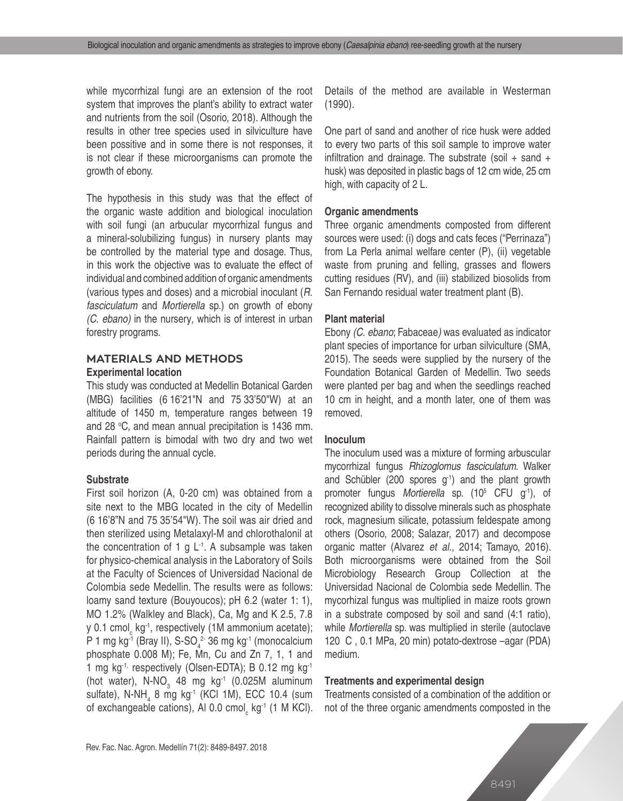while mycorrhizal fungi are an extension of the root system that improves the plant's ability to extract water and nutrients from the soil (Osorio, 2018). Although the results in other tree species used in silviculture have been possitive and in some there is not responses, it is not clear if these microorganisms can promote the growth of ebony.

The hypothesis in this study was that the effect of the organic waste addition and biological inoculation with soil fungi (an arbucular mycorrhizal fungus and a mineral-solubilizing fungus) in nursery plants may be controlled by the material type and dosage. Thus, in this work the objective was to evaluate the effect of individual and combined addition of organic amendments (various types and doses) and a microbial inoculant (*R. fasciculatum* and *Mortierella* sp.) on growth of ebony *(C. ebano)* in the nursery*,* which is of interest in urban forestry programs.

# **MATERIALS AND METHODS Experimental location**

This study was conducted at Medellin Botanical Garden (MBG) facilities (6.16'21"N and 75.33'50"W) at an altitude of 1450 m, temperature ranges between 19 and 28 °C, and mean annual precipitation is 1436 mm. Rainfall pattern is bimodal with two dry and two wet periods during the annual cycle.

## **Substrate**

First soil horizon (A, 0-20 cm) was obtained from a site next to the MBG located in the city of Medellin (6°16'8"N and 75°35'54"W). The soil was air dried and then sterilized using Metalaxyl-M and chlorothalonil at the concentration of 1 g  $L^{-1}$ . A subsample was taken for physico-chemical analysis in the Laboratory of Soils at the Faculty of Sciences of Universidad Nacional de Colombia sede Medellin. The results were as follows: loamy sand texture (Bouyoucos); pH 6.2 (water 1: 1), MO 1.2% (Walkley and Black), Ca, Mg and K 2.5, 7.8 y 0.1 cmol<sub>c</sub> kg<sup>-1</sup>, respectively (1M ammonium acetate); P 1 mg kg<sup>-1</sup> (Bray II), S-SO<sub>4</sub><sup>2</sup> 36 mg kg<sup>-1</sup> (monocalcium phosphate 0.008 M); Fe, Mn, Cu and Zn 7, 1, 1 and 1 mg kg<sup>-1,</sup> respectively (Olsen-EDTA); B 0.12 mg kg<sup>-1</sup> (hot water),  $N\text{-}NO_{3}$  48 mg kg<sup>-1</sup> (0.025M aluminum sulfate), N-NH<sub>4</sub> 8 mg kg<sup>-1</sup> (KCl 1M), ECC 10.4 (sum of exchangeable cations), Al 0.0 cmol<sub>c</sub> kg<sup>-1</sup> (1 M KCl). Details of the method are available in Westerman (1990).

One part of sand and another of rice husk were added to every two parts of this soil sample to improve water infiltration and drainage. The substrate (soil  $+$  sand  $+$ husk) was deposited in plastic bags of 12 cm wide, 25 cm high, with capacity of 2 L.

## **Organic amendments**

Three organic amendments composted from different sources were used: (i) dogs and cats feces ("Perrinaza") from La Perla animal welfare center (P), (ii) vegetable waste from pruning and felling, grasses and flowers cutting residues (RV), and (iii) stabilized biosolids from San Fernando residual water treatment plant (B).

#### **Plant material**

Ebony *(C. ebano*; Fabaceae*)* was evaluated as indicator plant species of importance for urban silviculture (SMA, 2015). The seeds were supplied by the nursery of the Foundation Botanical Garden of Medellin. Two seeds were planted per bag and when the seedlings reached 10 cm in height, and a month later, one of them was removed.

#### **Inoculum**

The inoculum used was a mixture of forming arbuscular mycorrhizal fungus *Rhizoglomus fasciculatum*. Walker and Schübler (200 spores g<sup>-1</sup>) and the plant growth promoter fungus *Mortierella* sp. (105 CFU g-1), of recognized ability to dissolve minerals such as phosphate rock, magnesium silicate, potassium feldespate among others (Osorio, 2008; Salazar, 2017) and decompose organic matter (Alvarez *et al*., 2014; Tamayo, 2016). Both microorganisms were obtained from the Soil Microbiology Research Group Collection at the Universidad Nacional de Colombia sede Medellin. The mycorhizal fungus was multiplied in maize roots grown in a substrate composed by soil and sand (4:1 ratio), while *Mortierella* sp. was multiplied in sterile (autoclave 120 C, 0.1 MPa, 20 min) potato-dextrose –agar (PDA) medium.

#### **Treatments and experimental design**

Treatments consisted of a combination of the addition or not of the three organic amendments composted in the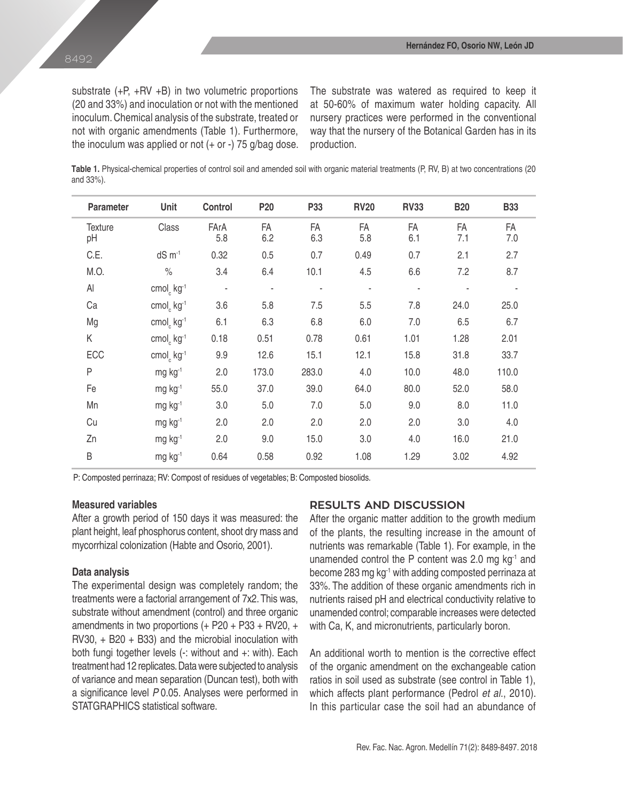substrate (+P, +RV +B) in two volumetric proportions (20 and 33%) and inoculation or not with the mentioned inoculum. Chemical analysis of the substrate, treated or not with organic amendments (Table 1). Furthermore, the inoculum was applied or not  $(+ or -)$  75 g/bag dose. The substrate was watered as required to keep it at 50-60% of maximum water holding capacity. All nursery practices were performed in the conventional way that the nursery of the Botanical Garden has in its production.

**Table 1.** Physical-chemical properties of control soil and amended soil with organic material treatments (P, RV, B) at two concentrations (20 and 33%).

| <b>Parameter</b>     | Unit                               | Control     | P <sub>20</sub>          | P33       | <b>RV20</b> | <b>RV33</b> | <b>B20</b> | <b>B33</b> |  |
|----------------------|------------------------------------|-------------|--------------------------|-----------|-------------|-------------|------------|------------|--|
| <b>Texture</b><br>pH | Class                              | FArA<br>5.8 | FA<br>6.2                | FA<br>6.3 | FA<br>5.8   | FA<br>6.1   | FA<br>7.1  | FA<br>7.0  |  |
| C.E.                 | $dS \, m^{-1}$                     | 0.32        | 0.5                      | 0.7       | 0.49        | 0.7         | 2.1        | 2.7        |  |
| M.O.                 | $\%$                               | 3.4         | 6.4                      | 10.1      | 4.5         | 6.6         | 7.2        | 8.7        |  |
| $\mathsf{Al}$        | cmol <sub>c</sub> kg <sup>-1</sup> |             | $\overline{\phantom{a}}$ | ٠         | ÷           |             |            |            |  |
| Ca                   | cmol <sub>c</sub> kg <sup>-1</sup> | 3.6         | 5.8                      | 7.5       | 5.5         | 7.8         | 24.0       | 25.0       |  |
| Mg                   | cmol <sub>c</sub> kg <sup>-1</sup> | 6.1         | 6.3                      | 6.8       | 6.0         | 7.0         | 6.5        | 6.7        |  |
| Κ                    | cmol <sub>c</sub> kg <sup>-1</sup> | 0.18        | 0.51                     | 0.78      | 0.61        | 1.01        | 1.28       | 2.01       |  |
| ECC                  | cmol <sub>c</sub> kg <sup>-1</sup> | 9.9         | 12.6                     | 15.1      | 12.1        | 15.8        | 31.8       | 33.7       |  |
| P                    | mg kg-1                            | 2.0         | 173.0                    | 283.0     | 4.0         | 10.0        | 48.0       | 110.0      |  |
| Fe                   | mg kg <sup>-1</sup>                | 55.0        | 37.0                     | 39.0      | 64.0        | 80.0        | 52.0       | 58.0       |  |
| Mn                   | $mg$ kg <sup>-1</sup>              | 3.0         | 5.0                      | 7.0       | 5.0         | 9.0         | 8.0        | 11.0       |  |
| Cu                   | $mg$ kg <sup>-1</sup>              | 2.0         | 2.0                      | 2.0       | 2.0         | 2.0         | 3.0        | 4.0        |  |
| Zn                   | $mg$ kg <sup>-1</sup>              | 2.0         | 9.0                      | 15.0      | 3.0         | 4.0         | 16.0       | 21.0       |  |
| B                    | $mg$ kg <sup>-1</sup>              | 0.64        | 0.58                     | 0.92      | 1.08        | 1.29        | 3.02       | 4.92       |  |

P: Composted perrinaza; RV: Compost of residues of vegetables; B: Composted biosolids.

# **Measured variables**

After a growth period of 150 days it was measured: the plant height, leaf phosphorus content, shoot dry mass and mycorrhizal colonization (Habte and Osorio, 2001).

#### **Data analysis**

The experimental design was completely random; the treatments were a factorial arrangement of 7x2. This was, substrate without amendment (control) and three organic amendments in two proportions (+ P20 + P33 + RV20, + RV30, + B20 + B33) and the microbial inoculation with both fungi together levels (-: without and +: with). Each treatment had 12 replicates. Data were subjected to analysis of variance and mean separation (Duncan test), both with a significance level *P* 0.05. Analyses were performed in STATGRAPHICS statistical software.

# **RESULTS AND DISCUSSION**

After the organic matter addition to the growth medium of the plants, the resulting increase in the amount of nutrients was remarkable (Table 1). For example, in the unamended control the P content was 2.0 mg kg-1 and become 283 mg kg-1 with adding composted perrinaza at 33%. The addition of these organic amendments rich in nutrients raised pH and electrical conductivity relative to unamended control; comparable increases were detected with Ca, K, and micronutrients, particularly boron.

An additional worth to mention is the corrective effect of the organic amendment on the exchangeable cation ratios in soil used as substrate (see control in Table 1), which affects plant performance (Pedrol *et al*., 2010). In this particular case the soil had an abundance of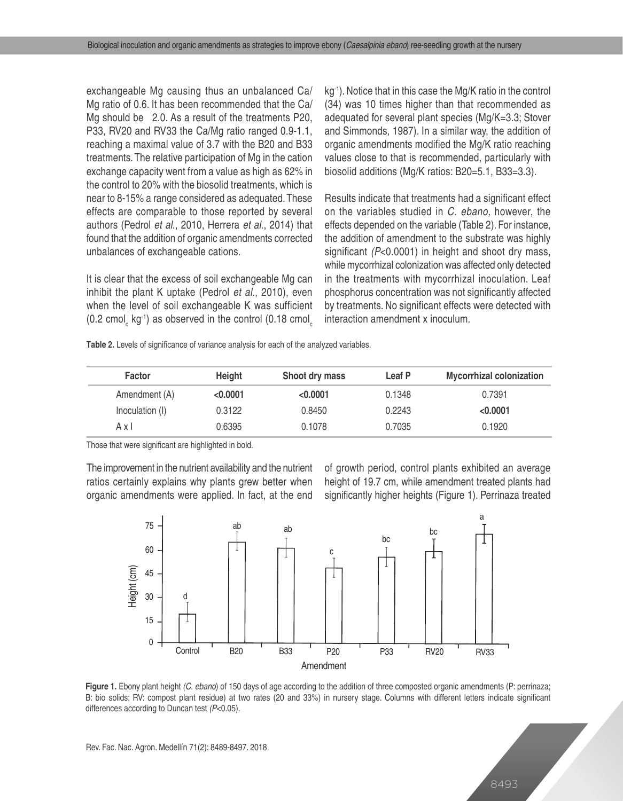exchangeable Mg causing thus an unbalanced Ca/ Mg ratio of 0.6. It has been recommended that the Ca/ Mg should be 2.0. As a result of the treatments P20, P33, RV20 and RV33 the Ca/Mg ratio ranged 0.9-1.1, reaching a maximal value of 3.7 with the B20 and B33 treatments. The relative participation of Mg in the cation exchange capacity went from a value as high as 62% in the control to 20% with the biosolid treatments, which is near to 8-15% a range considered as adequated. These effects are comparable to those reported by several authors (Pedrol *et al*., 2010, Herrera *et al*., 2014) that found that the addition of organic amendments corrected unbalances of exchangeable cations.

It is clear that the excess of soil exchangeable Mg can inhibit the plant K uptake (Pedrol *et al*., 2010), even when the level of soil exchangeable K was sufficient (0.2 cmol<sub>c</sub> kg<sup>-1</sup>) as observed in the control (0.18 cmol<sub>c</sub>

kg<sup>-1</sup>). Notice that in this case the Mg/K ratio in the control (34) was 10 times higher than that recommended as adequated for several plant species (Mg/K=3.3; Stover and Simmonds, 1987). In a similar way, the addition of organic amendments modified the Mg/K ratio reaching values close to that is recommended, particularly with biosolid additions (Mg/K ratios: B20=5.1, B33=3.3).

Results indicate that treatments had a significant effect on the variables studied in *C. ebano,* however, the effects depended on the variable (Table 2). For instance, the addition of amendment to the substrate was highly significant *(P*<0.0001) in height and shoot dry mass, while mycorrhizal colonization was affected only detected in the treatments with mycorrhizal inoculation. Leaf phosphorus concentration was not significantly affected by treatments. No significant effects were detected with interaction amendment x inoculum.

|  |  | Table 2. Levels of significance of variance analysis for each of the analyzed variables. |
|--|--|------------------------------------------------------------------------------------------|
|--|--|------------------------------------------------------------------------------------------|

| <b>Factor</b>   | Height   | Shoot dry mass | Leaf P | <b>Mycorrhizal colonization</b> |
|-----------------|----------|----------------|--------|---------------------------------|
| Amendment (A)   | < 0.0001 | < 0.0001       | 0.1348 | 0.7391                          |
| Inoculation (I) | 0.3122   | 0.8450         | 0.2243 | < 0.0001                        |
| Axl             | 0.6395   | 0.1078         | 0.7035 | 0.1920                          |

Those that were significant are highlighted in bold.

The improvement in the nutrient availability and the nutrient ratios certainly explains why plants grew better when organic amendments were applied. In fact, at the end of growth period, control plants exhibited an average height of 19.7 cm, while amendment treated plants had significantly higher heights (Figure 1). Perrinaza treated



**Figure 1.** Ebony plant height *(C. ebano*) of 150 days of age according to the addition of three composted organic amendments (P: perrinaza; B: bio solids; RV: compost plant residue) at two rates (20 and 33%) in nursery stage. Columns with different letters indicate significant differences according to Duncan test *(P*<0.05).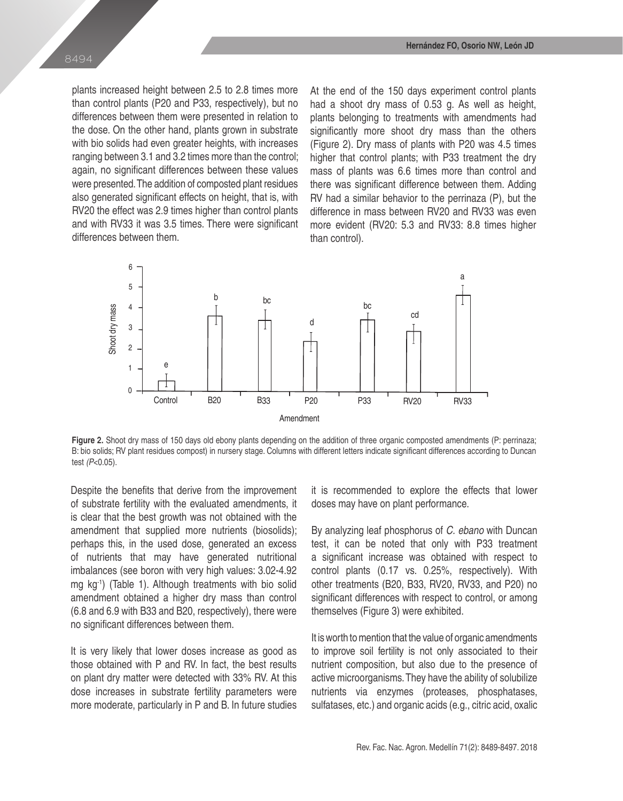plants increased height between 2.5 to 2.8 times more than control plants (P20 and P33, respectively), but no differences between them were presented in relation to the dose. On the other hand, plants grown in substrate with bio solids had even greater heights, with increases ranging between 3.1 and 3.2 times more than the control; again, no significant differences between these values were presented. The addition of composted plant residues also generated significant effects on height, that is, with RV20 the effect was 2.9 times higher than control plants and with RV33 it was 3.5 times. There were significant differences between them.

At the end of the 150 days experiment control plants had a shoot dry mass of 0.53 g. As well as height, plants belonging to treatments with amendments had significantly more shoot dry mass than the others (Figure 2). Dry mass of plants with P20 was 4.5 times higher that control plants; with P33 treatment the dry mass of plants was 6.6 times more than control and there was significant difference between them. Adding RV had a similar behavior to the perrinaza (P), but the difference in mass between RV20 and RV33 was even more evident (RV20: 5.3 and RV33: 8.8 times higher than control).



Figure 2. Shoot dry mass of 150 days old ebony plants depending on the addition of three organic composted amendments (P: perrinaza; B: bio solids; RV plant residues compost) in nursery stage. Columns with different letters indicate significant differences according to Duncan test *(P*<0.05).

Despite the benefits that derive from the improvement of substrate fertility with the evaluated amendments, it is clear that the best growth was not obtained with the amendment that supplied more nutrients (biosolids); perhaps this, in the used dose, generated an excess of nutrients that may have generated nutritional imbalances (see boron with very high values: 3.02-4.92 mg kg-1) (Table 1). Although treatments with bio solid amendment obtained a higher dry mass than control (6.8 and 6.9 with B33 and B20, respectively), there were no significant differences between them.

It is very likely that lower doses increase as good as those obtained with P and RV. In fact, the best results on plant dry matter were detected with 33% RV. At this dose increases in substrate fertility parameters were more moderate, particularly in P and B. In future studies

it is recommended to explore the effects that lower doses may have on plant performance.

By analyzing leaf phosphorus of *C. ebano* with Duncan test, it can be noted that only with P33 treatment a significant increase was obtained with respect to control plants (0.17 vs. 0.25%, respectively). With other treatments (B20, B33, RV20, RV33, and P20) no significant differences with respect to control, or among themselves (Figure 3) were exhibited.

It is worth to mention that the value of organic amendments to improve soil fertility is not only associated to their nutrient composition, but also due to the presence of active microorganisms. They have the ability of solubilize nutrients via enzymes (proteases, phosphatases, sulfatases, etc.) and organic acids (e.g., citric acid, oxalic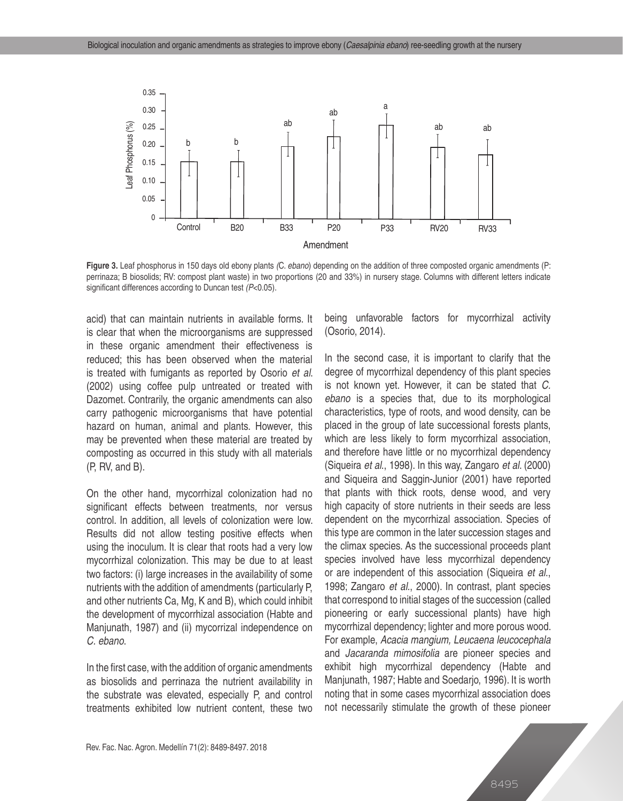

**Figure 3.** Leaf phosphorus in 150 days old ebony plants *(*C. *ebano*) depending on the addition of three composted organic amendments (P: perrinaza; B biosolids; RV: compost plant waste) in two proportions (20 and 33%) in nursery stage. Columns with different letters indicate significant differences according to Duncan test *(P*<0.05).

acid) that can maintain nutrients in available forms. It is clear that when the microorganisms are suppressed in these organic amendment their effectiveness is reduced; this has been observed when the material is treated with fumigants as reported by Osorio *et al*. (2002) using coffee pulp untreated or treated with Dazomet. Contrarily, the organic amendments can also carry pathogenic microorganisms that have potential hazard on human, animal and plants. However, this may be prevented when these material are treated by composting as occurred in this study with all materials (P, RV, and B).

On the other hand, mycorrhizal colonization had no significant effects between treatments, nor versus control. In addition, all levels of colonization were low. Results did not allow testing positive effects when using the inoculum. It is clear that roots had a very low mycorrhizal colonization. This may be due to at least two factors: (i) large increases in the availability of some nutrients with the addition of amendments (particularly P, and other nutrients Ca, Mg, K and B), which could inhibit the development of mycorrhizal association (Habte and Manjunath, 1987) and (ii) mycorrizal independence on *C. ebano*.

In the first case, with the addition of organic amendments as biosolids and perrinaza the nutrient availability in the substrate was elevated, especially P, and control treatments exhibited low nutrient content, these two being unfavorable factors for mycorrhizal activity (Osorio, 2014).

In the second case, it is important to clarify that the degree of mycorrhizal dependency of this plant species is not known yet. However, it can be stated that *C. ebano* is a species that, due to its morphological characteristics, type of roots, and wood density, can be placed in the group of late successional forests plants, which are less likely to form mycorrhizal association, and therefore have little or no mycorrhizal dependency (Siqueira *et al*., 1998). In this way, Zangaro *et al*. (2000) and Siqueira and Saggin-Junior (2001) have reported that plants with thick roots, dense wood, and very high capacity of store nutrients in their seeds are less dependent on the mycorrhizal association. Species of this type are common in the later succession stages and the climax species. As the successional proceeds plant species involved have less mycorrhizal dependency or are independent of this association (Siqueira *et al*., 1998; Zangaro *et al*., 2000). In contrast, plant species that correspond to initial stages of the succession (called pioneering or early successional plants) have high mycorrhizal dependency; lighter and more porous wood. For example, *Acacia mangium, Leucaena leucocephala* and *Jacaranda mimosifolia* are pioneer species and exhibit high mycorrhizal dependency (Habte and Manjunath, 1987; Habte and Soedarjo, 1996). It is worth noting that in some cases mycorrhizal association does not necessarily stimulate the growth of these pioneer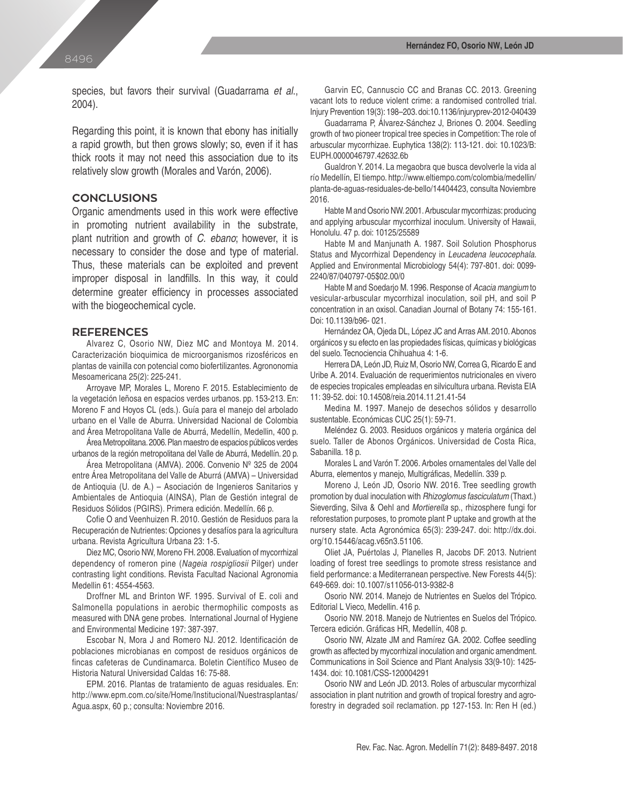species, but favors their survival (Guadarrama *et al*., 2004).

Regarding this point, it is known that ebony has initially a rapid growth, but then grows slowly; so, even if it has thick roots it may not need this association due to its relatively slow growth (Morales and Varón, 2006).

# **CONCLUSIONS**

Organic amendments used in this work were effective in promoting nutrient availability in the substrate, plant nutrition and growth of *C. ebano*; however, it is necessary to consider the dose and type of material. Thus, these materials can be exploited and prevent improper disposal in landfills. In this way, it could determine greater efficiency in processes associated with the biogeochemical cycle.

#### **REFERENCES**

Alvarez C, Osorio NW, Diez MC and Montoya M. 2014. Caracterización bioquimica de microorganismos rizosféricos en plantas de vainilla con potencial como biofertilizantes. Agrononomia Mesoamericana 25(2): 225-241.

Arroyave MP, Morales L, Moreno F. 2015. Establecimiento de la vegetación leñosa en espacios verdes urbanos. pp. 153-213. En: Moreno F and Hoyos CL (eds.). Guía para el manejo del arbolado urbano en el Valle de Aburra. Universidad Nacional de Colombia and Área Metropolitana Valle de Aburrá, Medellín, Medellin, 400 p.

Área Metropolitana. 2006. Plan maestro de espacios públicos verdes urbanos de la región metropolitana del Valle de Aburrá, Medellín. 20 p.

Área Metropolitana (AMVA). 2006. Convenio Nº 325 de 2004 entre Área Metropolitana del Valle de Aburrá (AMVA) – Universidad de Antioquia (U. de A.) – Asociación de Ingenieros Sanitarios y Ambientales de Antioquia (AINSA), Plan de Gestión integral de Residuos Sólidos (PGIRS). Primera edición. Medellín. 66 p.

Cofie O and Veenhuizen R. 2010. Gestión de Residuos para la Recuperación de Nutrientes: Opciones y desafíos para la agricultura urbana. Revista Agricultura Urbana 23: 1-5.

Diez MC, Osorio NW, Moreno FH. 2008. Evaluation of mycorrhizal dependency of romeron pine (*Nageia rospigliosii* Pilger) under contrasting light conditions. Revista Facultad Nacional Agronomia Medellin 61: 4554-4563.

Droffner ML and Brinton WF. 1995. Survival of E. coli and Salmonella populations in aerobic thermophilic composts as measured with DNA gene probes. International Journal of Hygiene and Environmental Medicine 197: 387-397.

Escobar N, Mora J and Romero NJ. 2012. Identificación de poblaciones microbianas en compost de residuos orgánicos de fincas cafeteras de Cundinamarca. Boletin Científico Museo de Historia Natural Universidad Caldas 16: 75-88.

EPM. 2016. Plantas de tratamiento de aguas residuales. En: http://www.epm.com.co/site/Home/Institucional/Nuestrasplantas/ Agua.aspx, 60 p.; consulta: Noviembre 2016.

Garvin EC, Cannuscio CC and Branas CC. 2013. Greening vacant lots to reduce violent crime: a randomised controlled trial. Injury Prevention 19(3): 198–203. doi:10.1136/injuryprev-2012-040439

Guadarrama P, Álvarez-Sánchez J, Briones O. 2004. Seedling growth of two pioneer tropical tree species in Competition: The role of arbuscular mycorrhizae. Euphytica 138(2): 113-121. doi: 10.1023/B: EUPH.0000046797.42632.6b

Gualdron Y. 2014. La megaobra que busca devolverle la vida al río Medellín, El tiempo. http://www.eltiempo.com/colombia/medellin/ planta-de-aguas-residuales-de-bello/14404423, consulta Noviembre 2016.

Habte M and Osorio NW. 2001. Arbuscular mycorrhizas: producing and applying arbuscular mycorrhizal inoculum. University of Hawaii, Honolulu. 47 p. doi: 10125/25589

Habte M and Manjunath A. 1987. Soil Solution Phosphorus Status and Mycorrhizal Dependency in *Leucadena leucocephala*. Applied and Environmental Microbiology 54(4): 797-801. doi: 0099- 2240/87/040797-05\$02.00/0

Habte M and Soedarjo M. 1996. Response of *Acacia mangium* to vesicular-arbuscular mycorrhizal inoculation, soil pH, and soil P concentration in an oxisol. Canadian Journal of Botany 74: 155-161. Doi: 10.1139/b96- 021.

Hernández OA, Ojeda DL, López JC and Arras AM. 2010. Abonos orgánicos y su efecto en las propiedades físicas, químicas y biológicas del suelo. Tecnociencia Chihuahua 4: 1-6.

Herrera DA, León JD, Ruiz M, Osorio NW, Correa G, Ricardo E and Uribe A. 2014. Evaluación de requerimientos nutricionales en vivero de especies tropicales empleadas en silvicultura urbana. Revista EIA 11: 39-52. doi: 10.14508/reia.2014.11.21.41-54

Medina M. 1997. Manejo de desechos sólidos y desarrollo sustentable. Económicas CUC 25(1): 59-71.

Meléndez G. 2003. Residuos orgánicos y materia orgánica del suelo. Taller de Abonos Orgánicos. Universidad de Costa Rica, Sabanilla. 18 p.

Morales L and Varón T. 2006. Arboles ornamentales del Valle del Aburra, elementos y manejo, Multigráficas, Medellín. 339 p.

Moreno J, León JD, Osorio NW. 2016. Tree seedling growth promotion by dual inoculation with *Rhizoglomus fasciculatum* (Thaxt.) Sieverding, Silva & Oehl and *Mortierella* sp., rhizosphere fungi for reforestation purposes, to promote plant P uptake and growth at the nursery state. Acta Agronómica 65(3): 239-247. doi: http://dx.doi. org/10.15446/acag.v65n3.51106.

Oliet JA, Puértolas J, Planelles R, Jacobs DF. 2013. Nutrient loading of forest tree seedlings to promote stress resistance and field performance: a Mediterranean perspective. New Forests 44(5): 649-669. doi: 10.1007/s11056-013-9382-8

Osorio NW. 2014. Manejo de Nutrientes en Suelos del Trópico. Editorial L Vieco, Medellin. 416 p.

Osorio NW. 2018. Manejo de Nutrientes en Suelos del Trópico. Tercera edición. Gráficas HR, Medellín, 408 p.

Osorio NW, Alzate JM and Ramírez GA. 2002. Coffee seedling growth as affected by mycorrhizal inoculation and organic amendment. Communications in Soil Science and Plant Analysis 33(9-10): 1425- 1434. doi: 10.1081/CSS-120004291

Osorio NW and León JD. 2013. Roles of arbuscular mycorrhizal association in plant nutrition and growth of tropical forestry and agroforestry in degraded soil reclamation. pp 127-153. In: Ren H (ed.)